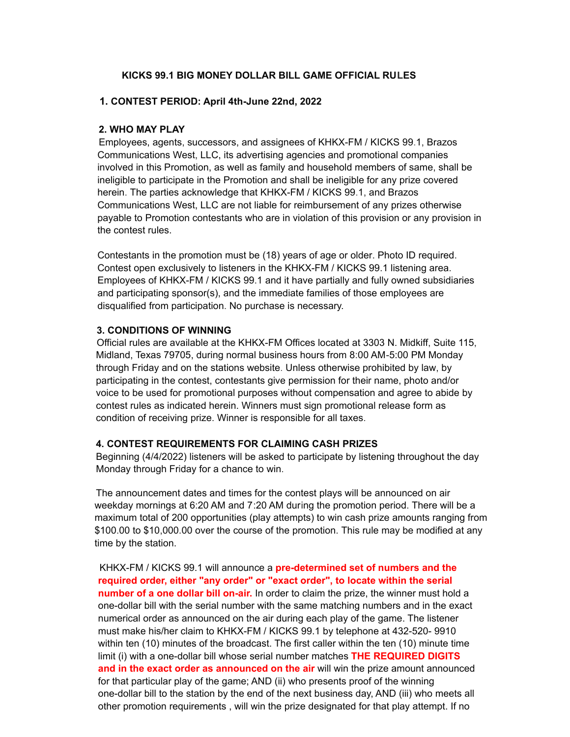## **KICKS 99.1 BIG MONEY DOLLAR BILL GAME OFFICIAL RULES**

## **1. CONTEST PERIOD: April 4th-June 22nd, 2022**

### **2. WHO MAY PLAY**

Employees, agents, successors, and assignees of KHKX-FM / KICKS 99.1, Brazos Communications West, LLC, its advertising agencies and promotional companies involved in this Promotion, as well as family and household members of same, shall be ineligible to participate in the Promotion and shall be ineligible for any prize covered herein. The parties acknowledge that KHKX-FM / KICKS 99.1, and Brazos Communications West, LLC are not liable for reimbursement of any prizes otherwise payable to Promotion contestants who are in violation of this provision or any provision in the contest rules.

Contestants in the promotion must be (18) years of age or older. Photo ID required. Contest open exclusively to listeners in the KHKX-FM / KICKS 99.1 listening area. Employees of KHKX-FM / KICKS 99.1 and it have partially and fully owned subsidiaries and participating sponsor(s), and the immediate families of those employees are disqualified from participation. No purchase is necessary.

### **3. CONDITIONS OF WINNING**

Official rules are available at the KHKX-FM Offices located at 3303 N. Midkiff, Suite 115, Midland, Texas 79705, during normal business hours from 8:00 AM-5:00 PM Monday through Friday and on the stations website. Unless otherwise prohibited by law, by participating in the contest, contestants give permission for their name, photo and/or voice to be used for promotional purposes without compensation and agree to abide by contest rules as indicated herein. Winners must sign promotional release form as condition of receiving prize. Winner is responsible for all taxes.

#### **4. CONTEST REQUIREMENTS FOR CLAIMING CASH PRIZES**

Beginning (4/4/2022) listeners will be asked to participate by listening throughout the day Monday through Friday for a chance to win.

The announcement dates and times for the contest plays will be announced on air weekday mornings at 6:20 AM and 7:20 AM during the promotion period. There will be a maximum total of 200 opportunities (play attempts) to win cash prize amounts ranging from \$100.00 to \$10,000.00 over the course of the promotion. This rule may be modified at any time by the station.

KHKX-FM / KICKS 99.1 will announce a **pre-determined set of numbers and the required order, either "any order" or "exact order", to locate within the serial number of a one dollar bill on-air.** In order to claim the prize, the winner must hold a one-dollar bill with the serial number with the same matching numbers and in the exact numerical order as announced on the air during each play of the game. The listener must make his/her claim to KHKX-FM / KICKS 99.1 by telephone at 432-520- 9910 within ten (10) minutes of the broadcast. The first caller within the ten (10) minute time limit (i) with a one-dollar bill whose serial number matches **THE REQUIRED DIGITS and in the exact order as announced on the air** will win the prize amount announced for that particular play of the game; AND (ii) who presents proof of the winning one-dollar bill to the station by the end of the next business day, AND (iii) who meets all other promotion requirements , will win the prize designated for that play attempt. If no